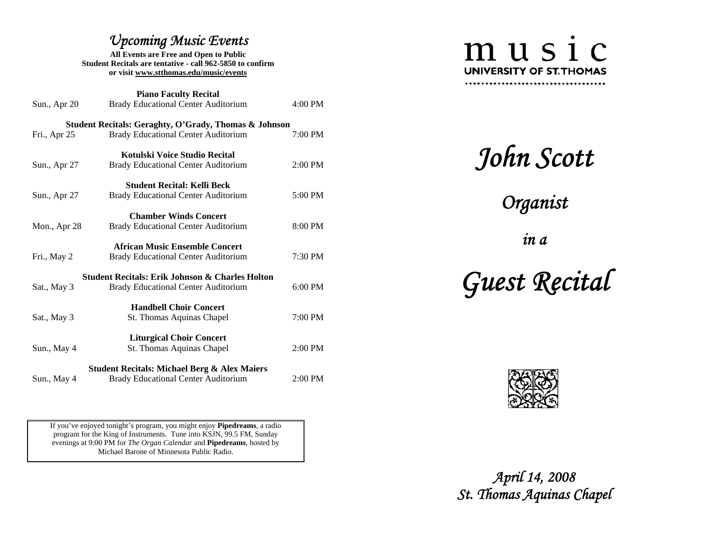## *Upcoming Music Events*

**All Events are Free and Open to Public Student Recitals are tentative - call 962-5850 to confirm or visit www.stthomas.edu/music/events**

**Piano Faculty Recital**  Sun., Apr 20 Brady Educational Center Auditorium 4:00 PM **Student Recitals: Geraghty, O'Grady, Thomas & Johnson**  Fri., Apr 25 Brady Educational Center Auditorium 7:00 PM **Kotulski Voice Studio Recital** Sun., Apr 27 Brady Educational Center Auditorium 2:00 PM **Student Recital: Kelli Beck** Sun., Apr 27 Brady Educational Center Auditorium 5:00 PM **Chamber Winds Concert** Mon., Apr 28 Brady Educational Center Auditorium 8:00 PM **African Music Ensemble Concert** Fri., May 2 Brady Educational Center Auditorium 7:30 PM **Student Recitals: Erik Johnson & Charles Holton** Sat., May 3 Brady Educational Center Auditorium 6:00 PM **Handbell Choir Concert** Sat., May 3 St. Thomas Aquinas Chapel 7:00 PM **Liturgical Choir Concert**  Sun., May 4 St. Thomas Aquinas Chapel 2:00 PM **Student Recitals: Michael Berg & Alex Maiers**  Sun., May 4 Brady Educational Center Auditorium 2:00 PM

If you've enjoyed tonight's program, you might enjoy **Pipedreams**, a radio program for the King of Instruments. Tune into KSJN, 99.5 FM, Sunday evenings at 9:00 PM for *The Organ Calendar* and **Pipedreams**, hosted by Michael Barone of Minnesota Public Radio.

# music **UNIVERSITY OF ST. THOMAS** ...............................

*John Scott* 

*Organist* 

*in a* 

 *Guest Recital* 



 *April 14, 2008 St. Thomas Aquinas Chapel*